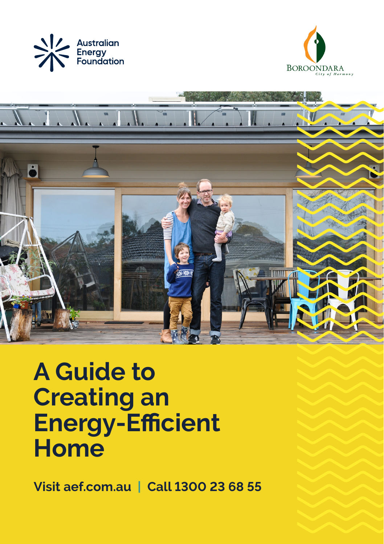





# **A Guide to Creating an Energy-Efficient Home**

**Visit aef.com.au | Call 1300 23 68 55**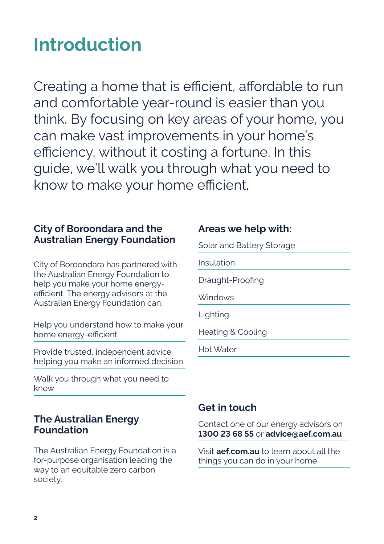## **Introduction**

Creating a home that is efficient, affordable to run and comfortable year-round is easier than you think. By focusing on key areas of your home, you can make vast improvements in your home's efficiency, without it costing a fortune. In this guide, we'll walk you through what you need to know to make your home efficient.

## **City of Boroondara and the Australian Energy Foundation**

City of Boroondara has partnered with the Australian Energy Foundation to help you make your home energyefficient. The energy advisors at the Australian Energy Foundation can:

Help you understand how to make your home energy-efficient

Provide trusted, independent advice helping you make an informed decision

Walk you through what you need to know

#### **The Australian Energy Foundation**

The Australian Energy Foundation is a for-purpose organisation leading the way to an equitable zero carbon society.

## **Areas we help with:**

Solar and Battery Storage

Insulation

Draught-Proofing

**Windows** 

Lighting

Heating & Cooling

Hot Water

## **Get in touch**

Contact one of our energy advisors on **1300 23 68 55** or **advice@aef.com.au**

Visit **aef.com.au** to learn about all the things you can do in your home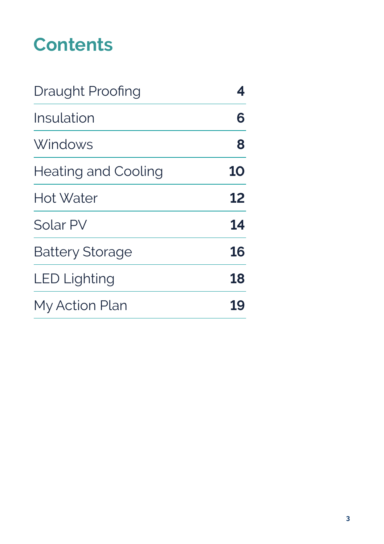## **Contents**

| Draught Proofing           | 4         |
|----------------------------|-----------|
| Insulation                 | 6         |
| Windows                    | 8         |
| <b>Heating and Cooling</b> | <b>10</b> |
| Hot Water                  | 12        |
| Solar PV                   | 14        |
| <b>Battery Storage</b>     | 16        |
| <b>LED Lighting</b>        | 18        |
| My Action Plan             | 19        |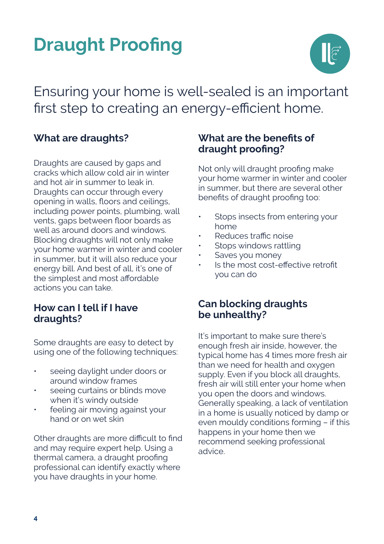# **Draught Proofing**



Ensuring your home is well-sealed is an important first step to creating an energy-efficient home.

## **What are draughts?**

Draughts are caused by gaps and cracks which allow cold air in winter and hot air in summer to leak in. Draughts can occur through every opening in walls, floors and ceilings, including power points, plumbing, wall vents, gaps between floor boards as well as around doors and windows. Blocking draughts will not only make your home warmer in winter and cooler in summer, but it will also reduce your energy bill. And best of all, it's one of the simplest and most affordable actions you can take.

#### **How can I tell if I have draughts?**

Some draughts are easy to detect by using one of the following techniques:

- seeing daylight under doors or around window frames
- seeing curtains or blinds move when it's windy outside
- feeling air moving against your hand or on wet skin

Other draughts are more difficult to find and may require expert help. Using a thermal camera, a draught proofing professional can identify exactly where you have draughts in your home.

## **What are the benefits of draught proofing?**

Not only will draught proofing make your home warmer in winter and cooler in summer, but there are several other benefits of draught proofing too:

- Stops insects from entering your home
- Reduces traffic noise
- Stops windows rattling
- Saves you money
- Is the most cost-effective retrofit you can do

### **Can blocking draughts be unhealthy?**

It's important to make sure there's enough fresh air inside, however, the typical home has 4 times more fresh air than we need for health and oxygen supply. Even if you block all draughts, fresh air will still enter your home when you open the doors and windows. Generally speaking, a lack of ventilation in a home is usually noticed by damp or even mouldy conditions forming – if this happens in your home then we recommend seeking professional advice.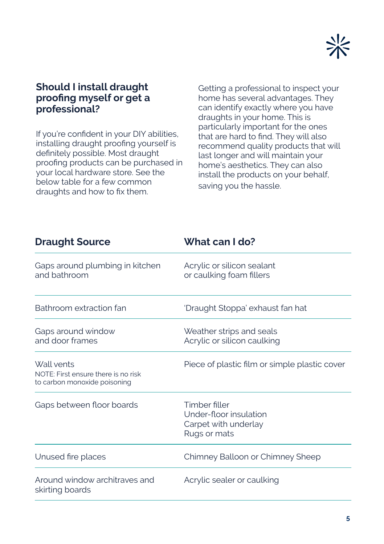

#### **Should I install draught proofing myself or get a professional?**

If you're confident in your DIY abilities, installing draught proofing yourself is definitely possible. Most draught proofing products can be purchased in your local hardware store. See the below table for a few common draughts and how to fix them.

Getting a professional to inspect your home has several advantages. They can identify exactly where you have draughts in your home. This is particularly important for the ones that are hard to find. They will also recommend quality products that will last longer and will maintain your home's aesthetics. They can also install the products on your behalf, saving you the hassle.

| <b>Draught Source</b>                                                                                        | What can I do?                                         |  |
|--------------------------------------------------------------------------------------------------------------|--------------------------------------------------------|--|
| Gaps around plumbing in kitchen<br>and bathroom                                                              | Acrylic or silicon sealant<br>or caulking foam fillers |  |
| Bathroom extraction fan                                                                                      | 'Draught Stoppa' exhaust fan hat                       |  |
| Gaps around window<br>Weather strips and seals<br>and door frames<br>Acrylic or silicon caulking             |                                                        |  |
| Wall vents<br>NOTE: First ensure there is no risk<br>to carbon monoxide poisoning                            | Piece of plastic film or simple plastic cover          |  |
| Timber filler<br>Gaps between floor boards<br>Under-floor insulation<br>Carpet with underlay<br>Rugs or mats |                                                        |  |
| Unused fire places                                                                                           | Chimney Balloon or Chimney Sheep                       |  |
| Around window architraves and<br>skirting boards                                                             | Acrylic sealer or caulking                             |  |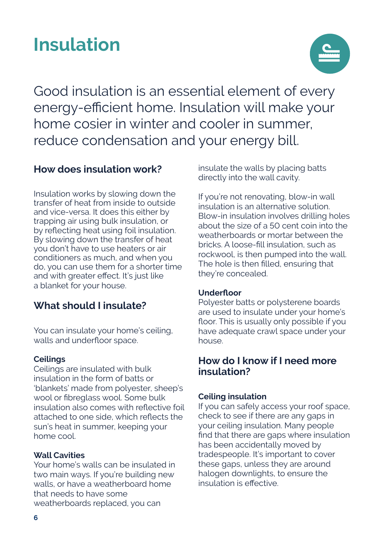## **Insulation**



Good insulation is an essential element of every energy-efficient home. Insulation will make your home cosier in winter and cooler in summer, reduce condensation and your energy bill.

### **How does insulation work?**

Insulation works by slowing down the transfer of heat from inside to outside and vice-versa. It does this either by trapping air using bulk insulation, or by reflecting heat using foil insulation. By slowing down the transfer of heat you don't have to use heaters or air conditioners as much, and when you do, you can use them for a shorter time and with greater effect. It's just like a blanket for your house.

## **What should I insulate?**

You can insulate your home's ceiling, walls and underfloor space.

#### **Ceilings**

Ceilings are insulated with bulk insulation in the form of batts or 'blankets' made from polyester, sheep's wool or fibreglass wool. Some bulk insulation also comes with reflective foil attached to one side, which reflects the sun's heat in summer, keeping your home cool.

#### **Wall Cavities**

Your home's walls can be insulated in two main ways. If you're building new walls, or have a weatherboard home that needs to have some weatherboards replaced, you can

insulate the walls by placing batts directly into the wall cavity.

If you're not renovating, blow-in wall insulation is an alternative solution. Blow-in insulation involves drilling holes about the size of a 50 cent coin into the weatherboards or mortar between the bricks. A loose-fill insulation, such as rockwool, is then pumped into the wall. The hole is then filled, ensuring that they're concealed.

#### **Underfloor**

Polyester batts or polysterene boards are used to insulate under your home's floor. This is usually only possible if you have adequate crawl space under your house.

#### **How do I know if I need more insulation?**

#### **Ceiling insulation**

If you can safely access your roof space, check to see if there are any gaps in your ceiling insulation. Many people find that there are gaps where insulation has been accidentally moved by tradespeople. It's important to cover these gaps, unless they are around halogen downlights, to ensure the insulation is effective.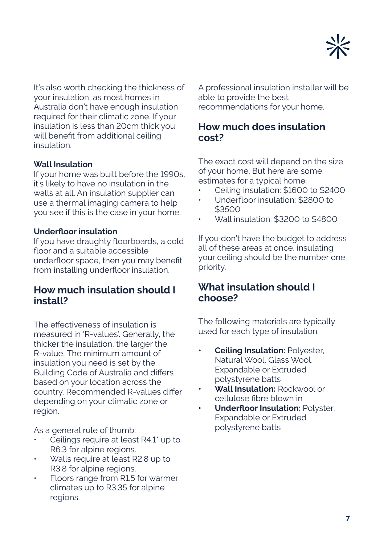

It's also worth checking the thickness of your insulation, as most homes in Australia don't have enough insulation required for their climatic zone. If your insulation is less than 20cm thick you will benefit from additional ceiling insulation.

#### **Wall Insulation**

If your home was built before the 1990s, it's likely to have no insulation in the walls at all. An insulation supplier can use a thermal imaging camera to help you see if this is the case in your home.

#### **Underfloor insulation**

If you have draughty floorboards, a cold floor and a suitable accessible underfloor space, then you may benefit from installing underfloor insulation.

#### **How much insulation should I install?**

The effectiveness of insulation is measured in 'R-values'. Generally, the thicker the insulation, the larger the R-value, The minimum amount of insulation you need is set by the Building Code of Australia and differs based on your location across the country. Recommended R-values differ depending on your climatic zone or region.

As a general rule of thumb:

- Ceilings require at least R4.1\* up to R6.3 for alpine regions.
- Walls require at least R2.8 up to R3.8 for alpine regions.
- Floors range from R1.5 for warmer climates up to R3.35 for alpine regions.

A professional insulation installer will be able to provide the best recommendations for your home.

## **How much does insulation cost?**

The exact cost will depend on the size of your home. But here are some estimates for a typical home.

- Ceiling insulation: \$1600 to \$2400
- Underfloor insulation: \$2800 to \$3500
- Wall insulation: \$3200 to \$4800

If you don't have the budget to address all of these areas at once, insulating your ceiling should be the number one priority.

#### **What insulation should I choose?**

The following materials are typically used for each type of insulation.

- **• Ceiling Insulation:** Polyester, Natural Wool, Glass Wool, Expandable or Extruded polystyrene batts
- **• Wall Insulation:** Rockwool or cellulose fibre blown in
- **• Underfloor Insulation:** Polyster, Expandable or Extruded polystyrene batts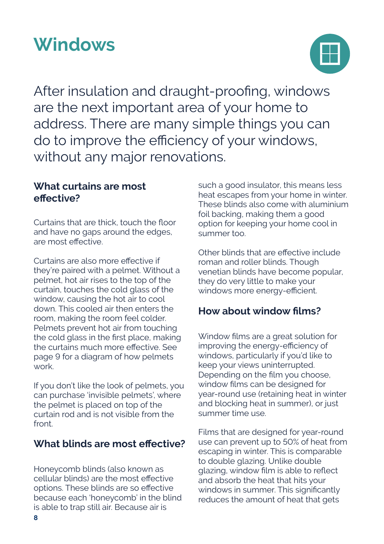## **Windows**



After insulation and draught-proofing, windows are the next important area of your home to address. There are many simple things you can do to improve the efficiency of your windows, without any major renovations.

## **What curtains are most effective?**

Curtains that are thick, touch the floor and have no gaps around the edges, are most effective.

Curtains are also more effective if they're paired with a pelmet. Without a pelmet, hot air rises to the top of the curtain, touches the cold glass of the window, causing the hot air to cool down. This cooled air then enters the room, making the room feel colder. Pelmets prevent hot air from touching the cold glass in the first place, making the curtains much more effective. See page 9 for a diagram of how pelmets work.

If you don't like the look of pelmets, you can purchase 'invisible pelmets', where the pelmet is placed on top of the curtain rod and is not visible from the front

## **What blinds are most effective?**

Honeycomb blinds (also known as cellular blinds) are the most effective options. These blinds are so effective because each 'honeycomb' in the blind is able to trap still air. Because air is

such a good insulator, this means less heat escapes from your home in winter. These blinds also come with aluminium foil backing, making them a good option for keeping your home cool in summer too.

Other blinds that are effective include roman and roller blinds. Though venetian blinds have become popular, they do very little to make your windows more energy-efficient.

## **How about window films?**

Window films are a great solution for improving the energy-efficiency of windows, particularly if you'd like to keep your views uninterrupted. Depending on the film you choose, window films can be designed for year-round use (retaining heat in winter and blocking heat in summer), or just summer time use.

Films that are designed for year-round use can prevent up to 50% of heat from escaping in winter. This is comparable to double glazing. Unlike double glazing, window film is able to reflect and absorb the heat that hits your windows in summer. This significantly reduces the amount of heat that gets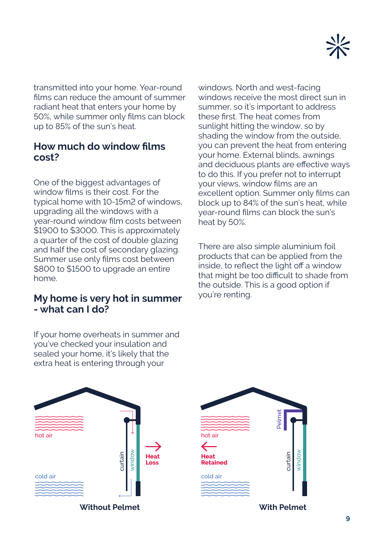

transmitted into your home. Year-round films can reduce the amount of summer radiant heat that enters your home by 50%, while summer only films can block up to 85% of the sun's heat.

#### **How much do window films cost?**

One of the biggest advantages of window films is their cost. For the typical home with 10-15m2 of windows, upgrading all the windows with a year-round window film costs between \$1900 to \$3000. This is approximately a quarter of the cost of double glazing and half the cost of secondary glazing. Summer use only films cost between \$800 to \$1500 to upgrade an entire home.

#### **My home is very hot in summer - what can I do?**

windows. North and west-facing windows receive the most direct sun in summer, so it's important to address these first. The heat comes from sunlight hitting the window, so by shading the window from the outside, you can prevent the heat from entering your home. External blinds, awnings and deciduous plants are effective ways to do this. If you prefer not to interrupt your views, window films are an excellent option. Summer only films can block up to 84% of the sun's heat, while year-round films can block the sun's heat by 50%.

There are also simple aluminium foil products that can be applied from the inside, to reflect the light off a window that might be too difficult to shade from the outside. This is a good option if you're renting.

If your home overheats in summer and you've checked your insulation and sealed your home, it's likely that the extra heat is entering through your





**With Pelmet** 

**9**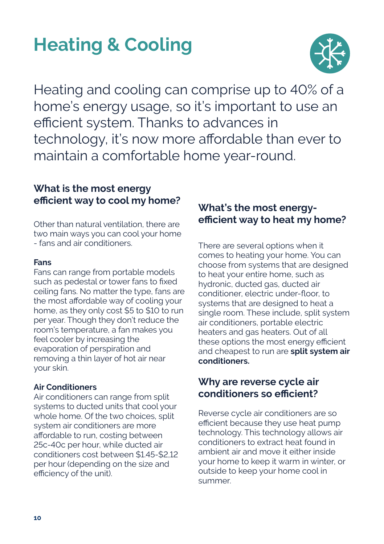## **Heating & Cooling**



Heating and cooling can comprise up to 40% of a home's energy usage, so it's important to use an efficient system. Thanks to advances in technology, it's now more affordable than ever to maintain a comfortable home year-round.

## **What is the most energy efficient way to cool my home?**

Other than natural ventilation, there are two main ways you can cool your home - fans and air conditioners.

#### **Fans**

Fans can range from portable models such as pedestal or tower fans to fixed ceiling fans. No matter the type, fans are the most affordable way of cooling your home, as they only cost \$5 to \$10 to run per year. Though they don't reduce the room's temperature, a fan makes you feel cooler by increasing the evaporation of perspiration and removing a thin layer of hot air near your skin.

#### **Air Conditioners**

Air conditioners can range from split systems to ducted units that cool your whole home. Of the two choices, split system air conditioners are more affordable to run, costing between 25c-40c per hour, while ducted air conditioners cost between \$1.45-\$2,12 per hour (depending on the size and efficiency of the unit).

## **What's the most energyefficient way to heat my home?**

There are several options when it comes to heating your home. You can choose from systems that are designed to heat your entire home, such as hydronic, ducted gas, ducted air conditioner, electric under-floor, to systems that are designed to heat a single room. These include, split system air conditioners, portable electric heaters and gas heaters. Out of all these options the most energy efficient and cheapest to run are **split system air conditioners.**

### **Why are reverse cycle air conditioners so efficient?**

Reverse cycle air conditioners are so efficient because they use heat pump technology. This technology allows air conditioners to extract heat found in ambient air and move it either inside your home to keep it warm in winter, or outside to keep your home cool in summer.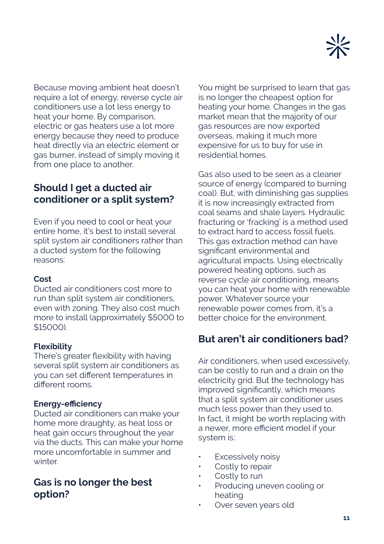

Because moving ambient heat doesn't require a lot of energy, reverse cycle air conditioners use a lot less energy to heat your home. By comparison, electric or gas heaters use a lot more energy because they need to produce heat directly via an electric element or gas burner, instead of simply moving it from one place to another.

## **Should I get a ducted air conditioner or a split system?**

Even if you need to cool or heat your entire home, it's best to install several split system air conditioners rather than a ducted system for the following reasons:

#### **Cost**

Ducted air conditioners cost more to run than split system air conditioners, even with zoning. They also cost much more to install (approximately \$5000 to \$15000).

#### **Flexibility**

There's greater flexibility with having several split system air conditioners as you can set different temperatures in different rooms.

#### **Energy-efficiency**

Ducted air conditioners can make your home more draughty, as heat loss or heat gain occurs throughout the year via the ducts. This can make your home more uncomfortable in summer and winter

#### **Gas is no longer the best option?**

You might be surprised to learn that gas is no longer the cheapest option for heating your home. Changes in the gas market mean that the majority of our gas resources are now exported overseas, making it much more expensive for us to buy for use in residential homes.

Gas also used to be seen as a cleaner source of energy (compared to burning coal). But, with diminishing gas supplies it is now increasingly extracted from coal seams and shale layers. Hydraulic fracturing or 'fracking' is a method used to extract hard to access fossil fuels. This gas extraction method can have significant environmental and agricultural impacts. Using electrically powered heating options, such as reverse cycle air conditioning, means you can heat your home with renewable power. Whatever source your renewable power comes from, it's a better choice for the environment.

#### **But aren't air conditioners bad?**

Air conditioners, when used excessively, can be costly to run and a drain on the electricity grid. But the technology has improved significantly, which means that a split system air conditioner uses much less power than they used to. In fact, it might be worth replacing with a newer, more efficient model if your system is:

- **Excessively noisy**
- Costly to repair
- Costly to run
- Producing uneven cooling or heating
- Over seven years old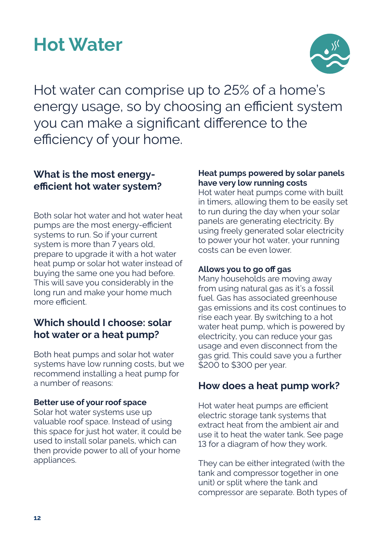## **Hot Water**



Hot water can comprise up to 25% of a home's energy usage, so by choosing an efficient system you can make a significant difference to the efficiency of your home.

### **What is the most energyefficient hot water system?**

Both solar hot water and hot water heat pumps are the most energy-efficient systems to run. So if your current system is more than 7 years old, prepare to upgrade it with a hot water heat pump or solar hot water instead of buying the same one you had before. This will save you considerably in the long run and make your home much more efficient.

## **Which should I choose: solar hot water or a heat pump?**

Both heat pumps and solar hot water systems have low running costs, but we recommend installing a heat pump for a number of reasons:

#### **Better use of your roof space**

Solar hot water systems use up valuable roof space. Instead of using this space for just hot water, it could be used to install solar panels, which can then provide power to all of your home appliances.

#### **Heat pumps powered by solar panels have very low running costs**

Hot water heat pumps come with built in timers, allowing them to be easily set to run during the day when your solar panels are generating electricity. By using freely generated solar electricity to power your hot water, your running costs can be even lower.

#### **Allows you to go off gas**

Many households are moving away from using natural gas as it's a fossil fuel. Gas has associated greenhouse gas emissions and its cost continues to rise each year. By switching to a hot water heat pump, which is powered by electricity, you can reduce your gas usage and even disconnect from the gas grid. This could save you a further \$200 to \$300 per year.

#### **How does a heat pump work?**

Hot water heat pumps are efficient electric storage tank systems that extract heat from the ambient air and use it to heat the water tank. See page 13 for a diagram of how they work.

They can be either integrated (with the tank and compressor together in one unit) or split where the tank and compressor are separate. Both types of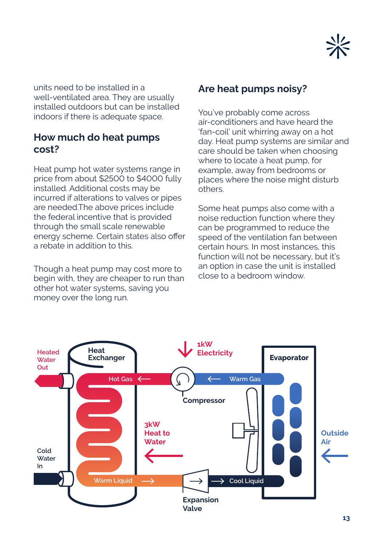

units need to be installed in a well-ventilated area. They are usually installed outdoors but can be installed indoors if there is adequate space.

#### **How much do heat pumps cost?**

Heat pump hot water systems range in price from about \$2500 to \$4000 fully installed. Additional costs may be incurred if alterations to valves or pipes are needed.The above prices include the federal incentive that is provided through the small scale renewable energy scheme. Certain states also offer a rebate in addition to this.

Though a heat pump may cost more to begin with, they are cheaper to run than other hot water systems, saving you money over the long run.

#### **Are heat pumps noisy?**

You've probably come across air-conditioners and have heard the 'fan-coil' unit whirring away on a hot day. Heat pump systems are similar and care should be taken when choosing where to locate a heat pump, for example, away from bedrooms or places where the noise might disturb others.

Some heat pumps also come with a noise reduction function where they can be programmed to reduce the speed of the ventilation fan between certain hours. In most instances, this function will not be necessary, but it's an option in case the unit is installed close to a bedroom window.

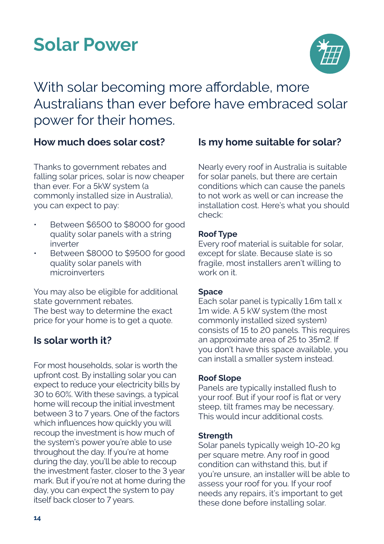## **Solar Power**



With solar becoming more affordable, more Australians than ever before have embraced solar power for their homes.

#### **How much does solar cost?**

Thanks to government rebates and falling solar prices, solar is now cheaper than ever. For a 5kW system (a commonly installed size in Australia), you can expect to pay:

- Between \$6500 to \$8000 for good quality solar panels with a string inverter
- Between \$8000 to \$9500 for good quality solar panels with microinverters

You may also be eligible for additional state government rebates. The best way to determine the exact

price for your home is to get a quote.

## **Is solar worth it?**

For most households, solar is worth the upfront cost. By installing solar you can expect to reduce your electricity bills by 30 to 60%. With these savings, a typical home will recoup the initial investment between 3 to 7 years. One of the factors which influences how quickly you will recoup the investment is how much of the system's power you're able to use throughout the day. If you're at home during the day, you'll be able to recoup the investment faster, closer to the 3 year mark. But if you're not at home during the day, you can expect the system to pay itself back closer to 7 years.

## **Is my home suitable for solar?**

Nearly every roof in Australia is suitable for solar panels, but there are certain conditions which can cause the panels to not work as well or can increase the installation cost. Here's what you should check:

#### **Roof Type**

Every roof material is suitable for solar, except for slate. Because slate is so fragile, most installers aren't willing to work on it.

#### **Space**

Each solar panel is typically 1.6m tall x 1m wide. A 5 kW system (the most commonly installed sized system) consists of 15 to 20 panels. This requires an approximate area of 25 to 35m2. If you don't have this space available, you can install a smaller system instead.

#### **Roof Slope**

Panels are typically installed flush to your roof. But if your roof is flat or very steep, tilt frames may be necessary. This would incur additional costs.

#### **Strength**

Solar panels typically weigh 10-20 kg per square metre. Any roof in good condition can withstand this, but if you're unsure, an installer will be able to assess your roof for you. If your roof needs any repairs, it's important to get these done before installing solar.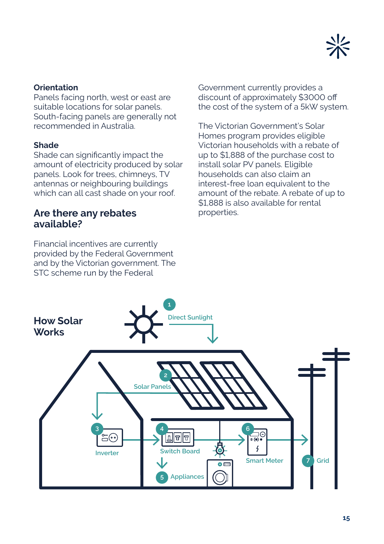

#### **Orientation**

Panels facing north, west or east are suitable locations for solar panels. South-facing panels are generally not recommended in Australia.

#### **Shade**

Shade can significantly impact the amount of electricity produced by solar panels. Look for trees, chimneys, TV antennas or neighbouring buildings which can all cast shade on your roof.

### **Are there any rebates available?**

Financial incentives are currently provided by the Federal Government and by the Victorian government. The STC scheme run by the Federal

Government currently provides a discount of approximately \$3000 off the cost of the system of a 5kW system.

The Victorian Government's Solar Homes program provides eligible Victorian households with a rebate of up to \$1,888 of the purchase cost to install solar PV panels. Eligible households can also claim an interest-free loan equivalent to the amount of the rebate. A rebate of up to \$1,888 is also available for rental properties.

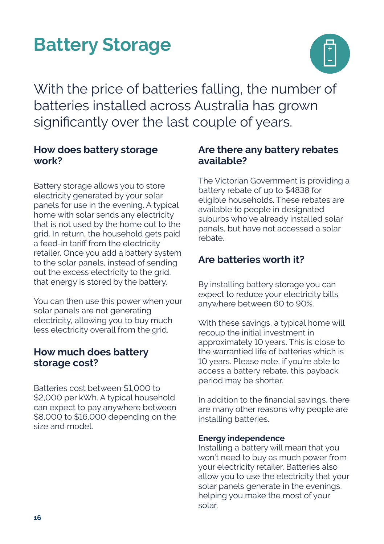## **Battery Storage**



With the price of batteries falling, the number of batteries installed across Australia has grown significantly over the last couple of years.

### **How does battery storage work?**

Battery storage allows you to store electricity generated by your solar panels for use in the evening. A typical home with solar sends any electricity that is not used by the home out to the grid. In return, the household gets paid a feed-in tariff from the electricity retailer. Once you add a battery system to the solar panels, instead of sending out the excess electricity to the grid, that energy is stored by the battery.

You can then use this power when your solar panels are not generating electricity, allowing you to buy much less electricity overall from the grid.

### **How much does battery storage cost?**

Batteries cost between \$1,000 to \$2,000 per kWh. A typical household can expect to pay anywhere between \$8,000 to \$16,000 depending on the size and model.

### **Are there any battery rebates available?**

The Victorian Government is providing a battery rebate of up to \$4838 for eligible households. These rebates are available to people in designated suburbs who've already installed solar panels, but have not accessed a solar rebate.

## **Are batteries worth it?**

By installing battery storage you can expect to reduce your electricity bills anywhere between 60 to 90%.

With these savings, a typical home will recoup the initial investment in approximately 10 years. This is close to the warrantied life of batteries which is 10 years. Please note, if you're able to access a battery rebate, this payback period may be shorter.

In addition to the financial savings, there are many other reasons why people are installing batteries.

#### **Energy independence**

Installing a battery will mean that you won't need to buy as much power from your electricity retailer. Batteries also allow you to use the electricity that your solar panels generate in the evenings, helping you make the most of your solar.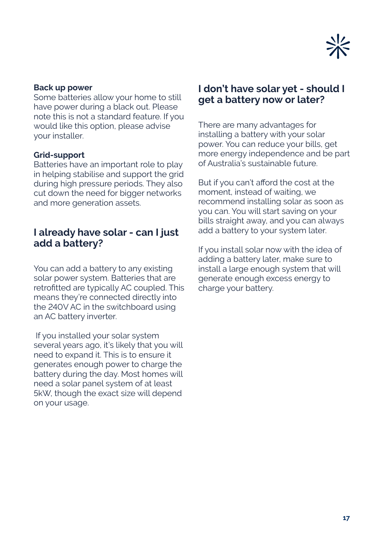

#### **Back up power**

Some batteries allow your home to still have power during a black out. Please note this is not a standard feature. If you would like this option, please advise your installer.

#### **Grid-support**

Batteries have an important role to play in helping stabilise and support the grid during high pressure periods. They also cut down the need for bigger networks and more generation assets.

#### **I already have solar - can I just add a battery?**

You can add a battery to any existing solar power system. Batteries that are retrofitted are typically AC coupled. This means they're connected directly into the 240V AC in the switchboard using an AC battery inverter.

 If you installed your solar system several years ago, it's likely that you will need to expand it. This is to ensure it generates enough power to charge the battery during the day. Most homes will need a solar panel system of at least 5kW, though the exact size will depend on your usage.

### **I don't have solar yet - should I get a battery now or later?**

There are many advantages for installing a battery with your solar power. You can reduce your bills, get more energy independence and be part of Australia's sustainable future.

But if you can't afford the cost at the moment, instead of waiting, we recommend installing solar as soon as you can. You will start saving on your bills straight away, and you can always add a battery to your system later.

If you install solar now with the idea of adding a battery later, make sure to install a large enough system that will generate enough excess energy to charge your battery.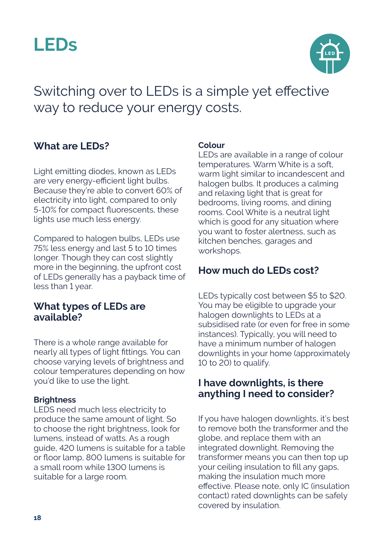



Switching over to LEDs is a simple yet effective way to reduce your energy costs.

#### **What are LEDs?**

Light emitting diodes, known as LEDs are very energy-efficient light bulbs. Because they're able to convert 60% of electricity into light, compared to only 5-10% for compact fluorescents, these lights use much less energy.

Compared to halogen bulbs, LEDs use 75% less energy and last 5 to 10 times longer. Though they can cost slightly more in the beginning, the upfront cost of LEDs generally has a payback time of less than 1 year.

#### **What types of LEDs are available?**

There is a whole range available for nearly all types of light fittings. You can choose varying levels of brightness and colour temperatures depending on how you'd like to use the light.

#### **Brightness**

LEDS need much less electricity to produce the same amount of light. So to choose the right brightness, look for lumens, instead of watts. As a rough guide, 420 lumens is suitable for a table or floor lamp, 800 lumens is suitable for a small room while 1300 lumens is suitable for a large room.

#### **Colour**

LEDs are available in a range of colour temperatures. Warm White is a soft, warm light similar to incandescent and halogen bulbs. It produces a calming and relaxing light that is great for bedrooms, living rooms, and dining rooms. Cool White is a neutral light which is good for any situation where you want to foster alertness, such as kitchen benches, garages and workshops.

#### **How much do LEDs cost?**

LEDs typically cost between \$5 to \$20. You may be eligible to upgrade your halogen downlights to LEDs at a subsidised rate (or even for free in some instances). Typically, you will need to have a minimum number of halogen downlights in your home (approximately 10 to 20) to qualify.

#### **I have downlights, is there anything I need to consider?**

If you have halogen downlights, it's best to remove both the transformer and the globe, and replace them with an integrated downlight. Removing the transformer means you can then top up your ceiling insulation to fill any gaps, making the insulation much more effective. Please note, only IC (insulation contact) rated downlights can be safely covered by insulation.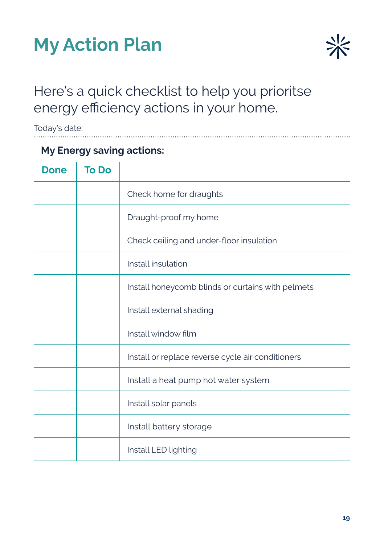



## Here's a quick checklist to help you prioritse energy efficiency actions in your home.

Today's date:

| <b>My Energy saving actions:</b> |              |                                                   |
|----------------------------------|--------------|---------------------------------------------------|
| <b>Done</b>                      | <b>To Do</b> |                                                   |
|                                  |              | Check home for draughts                           |
|                                  |              | Draught-proof my home                             |
|                                  |              | Check ceiling and under-floor insulation          |
|                                  |              | Install insulation                                |
|                                  |              | Install honeycomb blinds or curtains with pelmets |
|                                  |              | Install external shading                          |
|                                  |              | Install window film                               |
|                                  |              | Install or replace reverse cycle air conditioners |
|                                  |              | Install a heat pump hot water system              |
|                                  |              | Install solar panels                              |
|                                  |              | Install battery storage                           |
|                                  |              | Install LED lighting                              |